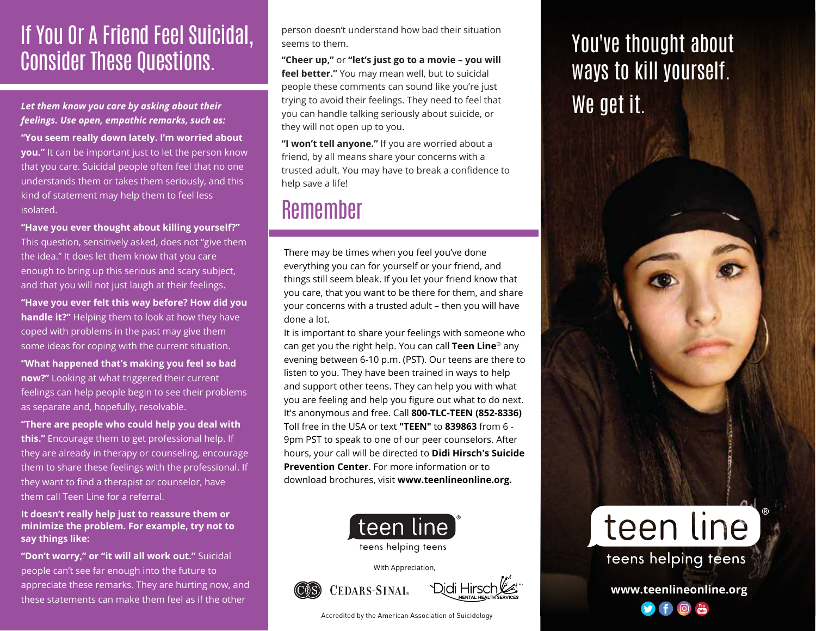## If You Or A Friend Feel Suicidal, Consider These Questions.

### *Let them know you care by asking about their feelings. Use open, empathic remarks, such as:*

**"You seem really down lately. I'm worried about you."** It can be important just to let the person know that you care. Suicidal people often feel that no one understands them or takes them seriously, and this kind of statement may help them to feel less isolated.

**"Have you ever thought about killing yourself?"** 

This question, sensitively asked, does not "give them the idea." It does let them know that you care enough to bring up this serious and scary subject, and that you will not just laugh at their feelings.

**"Have you ever felt this way before? How did you handle it?"** Helping them to look at how they have coped with problems in the past may give them some ideas for coping with the current situation.

**"What happened that's making you feel so bad now?"** Looking at what triggered their current feelings can help people begin to see their problems as separate and, hopefully, resolvable.

**"There are people who could help you deal with this."** Encourage them to get professional help. If they are already in therapy or counseling, encourage them to share these feelings with the professional. If they want to find a therapist or counselor, have them call Teen Line for a referral.

**It doesn't really help just to reassure them or minimize the problem. For example, try not to say things like:**

**"Don't worry," or "it will all work out."** Suicidal people can't see far enough into the future to appreciate these remarks. They are hurting now, and these statements can make them feel as if the other

person doesn't understand how bad their situation seems to them.

**"Cheer up,"** or **"let's just go to a movie – you will feel better."** You may mean well, but to suicidal people these comments can sound like you're just trying to avoid their feelings. They need to feel that you can handle talking seriously about suicide, or they will not open up to you.

**"I won't tell anyone."** If you are worried about a friend, by all means share your concerns with a trusted adult. You may have to break a confidence to help save a life!

## Remember

There may be times when you feel you've done everything you can for yourself or your friend, and things still seem bleak. If you let your friend know that you care, that you want to be there for them, and share your concerns with a trusted adult – then you will have done a lot.

It is important to share your feelings with someone who can get you the right help. You can call **Teen Line**® any evening between 6-10 p.m. (PST). Our teens are there to listen to you. They have been trained in ways to help and support other teens. They can help you with what you are feeling and help you figure out what to do next. It's anonymous and free. Call **800-TLC-TEEN (852-8336)** Toll free in the USA or text **"TEEN"** to **839863** from 6 - 9pm PST to speak to one of our peer counselors. After hours, your call will be directed to **Didi Hirsch's Suicide Prevention Center**. For more information or to download brochures, visit **www.teenlineonline.org.**



teens helping teens

With Appreciation,





Accredited by the American Association of Suicidology

# You've thought about ways to kill yourself. We get it.